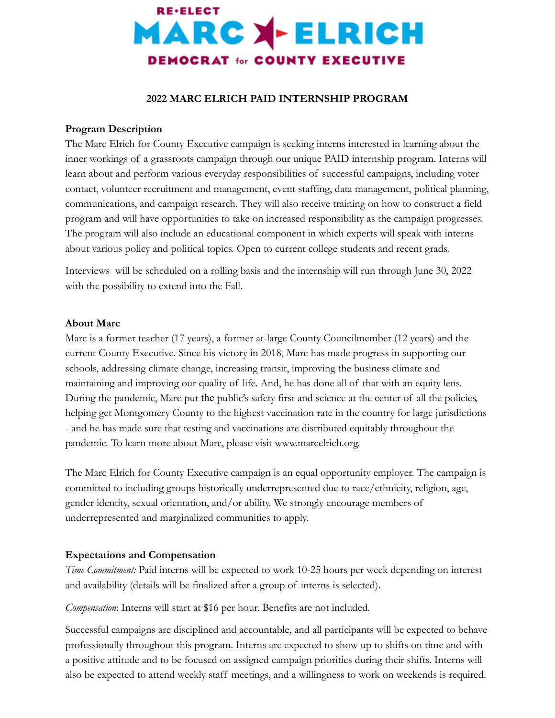

## **2022 MARC ELRICH PAID INTERNSHIP PROGRAM**

### **Program Description**

The Marc Elrich for County Executive campaign is seeking interns interested in learning about the inner workings of a grassroots campaign through our unique PAID internship program. Interns will learn about and perform various everyday responsibilities of successful campaigns, including voter contact, volunteer recruitment and management, event staffing, data management, political planning, communications, and campaign research. They will also receive training on how to construct a field program and will have opportunities to take on increased responsibility as the campaign progresses. The program will also include an educational component in which experts will speak with interns about various policy and political topics. Open to current college students and recent grads.

Interviews will be scheduled on a rolling basis and the internship will run through June 30, 2022 with the possibility to extend into the Fall.

### **About Marc**

Marc is a former teacher (17 years), a former at-large County Councilmember (12 years) and the current County Executive. Since his victory in 2018, Marc has made progress in supporting our schools, addressing climate change, increasing transit, improving the business climate and maintaining and improving our quality of life. And, he has done all of that with an equity lens. During the pandemic, Marc put the public's safety first and science at the center of all the policies, helping get Montgomery County to the highest vaccination rate in the country for large jurisdictions - and he has made sure that testing and vaccinations are distributed equitably throughout the pandemic. To learn more about Marc, please visit www.marcelrich.org.

The Marc Elrich for County Executive campaign is an equal opportunity employer. The campaign is committed to including groups historically underrepresented due to race/ethnicity, religion, age, gender identity, sexual orientation, and/or ability. We strongly encourage members of underrepresented and marginalized communities to apply.

### **Expectations and Compensation**

*Time Commitment:* Paid interns will be expected to work 10-25 hours per week depending on interest and availability (details will be finalized after a group of interns is selected).

*Compensation*: Interns will start at \$16 per hour. Benefits are not included.

Successful campaigns are disciplined and accountable, and all participants will be expected to behave professionally throughout this program. Interns are expected to show up to shifts on time and with a positive attitude and to be focused on assigned campaign priorities during their shifts. Interns will also be expected to attend weekly staff meetings, and a willingness to work on weekends is required.